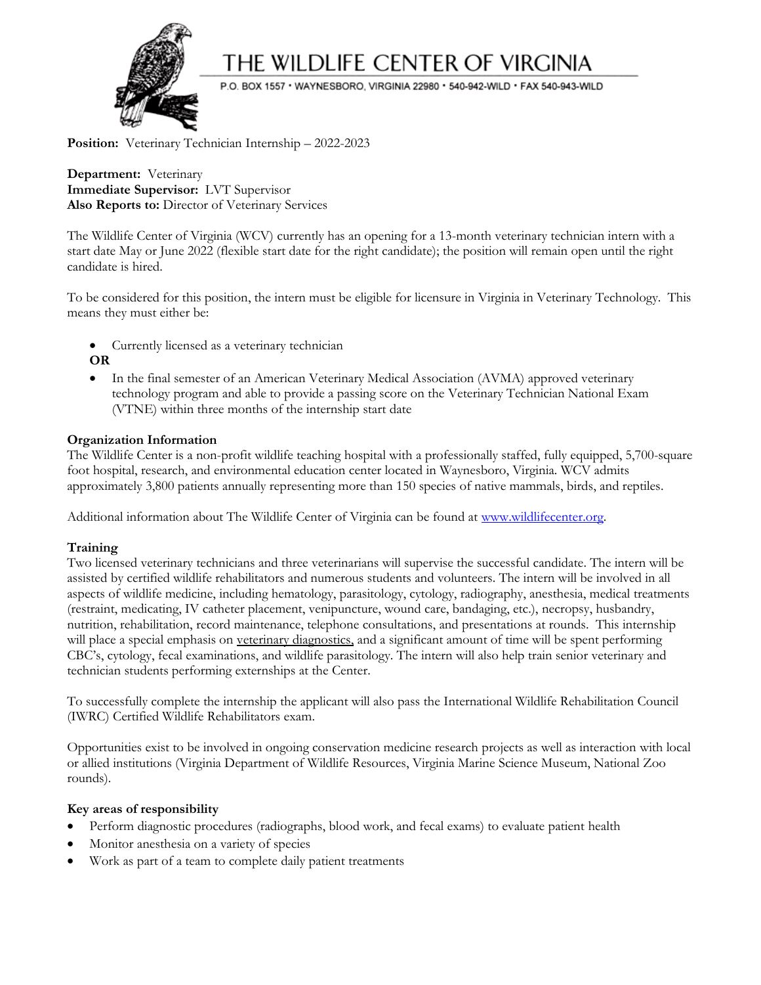

# THE WILDLIFE CENTER OF VIRGINIA

P.O. BOX 1557 · WAYNESBORO, VIRGINIA 22980 · 540-942-WILD · FAX 540-943-WILD

Position: Veterinary Technician Internship - 2022-2023

**Department:** Veterinary **Immediate Supervisor:** LVT Supervisor **Also Reports to:** Director of Veterinary Services

The Wildlife Center of Virginia (WCV) currently has an opening for a 13-month veterinary technician intern with a start date May or June 2022 (flexible start date for the right candidate); the position will remain open until the right candidate is hired.

To be considered for this position, the intern must be eligible for licensure in Virginia in Veterinary Technology. This means they must either be:

- Currently licensed as a veterinary technician **OR**
- In the final semester of an American Veterinary Medical Association (AVMA) approved veterinary technology program and able to provide a passing score on the Veterinary Technician National Exam (VTNE) within three months of the internship start date

## **Organization Information**

The Wildlife Center is a non-profit wildlife teaching hospital with a professionally staffed, fully equipped, 5,700-square foot hospital, research, and environmental education center located in Waynesboro, Virginia. WCV admits approximately 3,800 patients annually representing more than 150 species of native mammals, birds, and reptiles.

Additional information about The Wildlife Center of Virginia can be found at [www.wildlifecenter.org.](http://www.wildlifecenter.org/)

### **Training**

Two licensed veterinary technicians and three veterinarians will supervise the successful candidate. The intern will be assisted by certified wildlife rehabilitators and numerous students and volunteers. The intern will be involved in all aspects of wildlife medicine, including hematology, parasitology, cytology, radiography, anesthesia, medical treatments (restraint, medicating, IV catheter placement, venipuncture, wound care, bandaging, etc.), necropsy, husbandry, nutrition, rehabilitation, record maintenance, telephone consultations, and presentations at rounds. This internship will place a special emphasis on veterinary diagnostics, and a significant amount of time will be spent performing CBC's, cytology, fecal examinations, and wildlife parasitology. The intern will also help train senior veterinary and technician students performing externships at the Center.

To successfully complete the internship the applicant will also pass the International Wildlife Rehabilitation Council (IWRC) Certified Wildlife Rehabilitators exam.

Opportunities exist to be involved in ongoing conservation medicine research projects as well as interaction with local or allied institutions (Virginia Department of Wildlife Resources, Virginia Marine Science Museum, National Zoo rounds).

### **Key areas of responsibility**

- Perform diagnostic procedures (radiographs, blood work, and fecal exams) to evaluate patient health
- Monitor anesthesia on a variety of species
- Work as part of a team to complete daily patient treatments